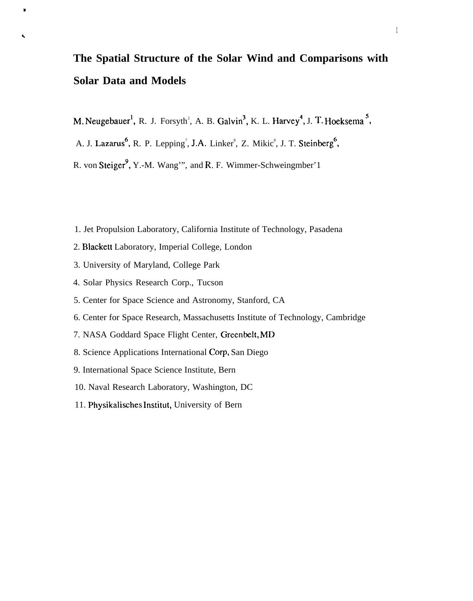# **The Spatial Structure of the Solar Wind and Comparisons with Solar Data and Models**

- M. Neugebauer<sup>1</sup>, R. J. Forsyth<sup>2</sup>, A. B. Galvin<sup>3</sup>, K. L. Harvey<sup>4</sup>, J. T. Hoeksema<sup>2</sup>,
- A. J. Lazarus<sup>o</sup>, R. P. Lepping<sup>7</sup>, J.A. Linker<sup>8</sup>, Z. Mikic<sup>8</sup>, J. T. Steinberg<sup>o</sup>
- R. von Steiger<sup>9</sup>, Y.-M. Wang'", and R. F. Wimmer-Schweingmber'1
- 1. Jet Propulsion Laboratory, California Institute of Technology, Pasadena
- 2. Blackett Laboratory, Imperial College, London
- 3. University of Maryland, College Park

Ĺ,

- 4. Solar Physics Research Corp., Tucson
- 5. Center for Space Science and Astronomy, Stanford, CA
- 6. Center for Space Research, Massachusetts Institute of Technology, Cambridge
- 7. NASA Goddard Space Flight Center, Greenbelt, MD
- 8. Science Applications International Corp, San Diego
- 9. International Space Science Institute, Bern
- 10. Naval Research Laboratory, Washington, DC
- 11. Physikalisches Institut, University of Bern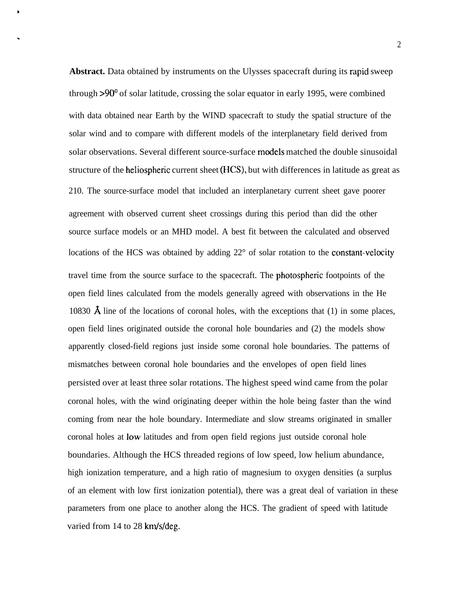**Abstract.** Data obtained by instruments on the Ulysses spacecraft during its rapid sweep through >90° of solar latitude, crossing the solar equator in early 1995, were combined with data obtained near Earth by the WIND spacecraft to study the spatial structure of the solar wind and to compare with different models of the interplanetary field derived from solar observations. Several different source-surface models matched the double sinusoidal structure of the heliospheric current sheet (HCS), but with differences in latitude as great as 210. The source-surface model that included an interplanetary current sheet gave poorer agreement with observed current sheet crossings during this period than did the other source surface models or an MHD model. A best fit between the calculated and observed locations of the HCS was obtained by adding  $22^{\circ}$  of solar rotation to the constant-velocity travel time from the source surface to the spacecraft. The photospheric footpoints of the open field lines calculated from the models generally agreed with observations in the He 10830  $\AA$  line of the locations of coronal holes, with the exceptions that (1) in some places, open field lines originated outside the coronal hole boundaries and (2) the models show apparently closed-field regions just inside some coronal hole boundaries. The patterns of mismatches between coronal hole boundaries and the envelopes of open field lines persisted over at least three solar rotations. The highest speed wind came from the polar coronal holes, with the wind originating deeper within the hole being faster than the wind coming from near the hole boundary. Intermediate and slow streams originated in smaller coronal holes at low latitudes and from open field regions just outside coronal hole boundaries. Although the HCS threaded regions of low speed, low helium abundance, high ionization temperature, and a high ratio of magnesium to oxygen densities (a surplus of an element with low first ionization potential), there was a great deal of variation in these parameters from one place to another along the HCS. The gradient of speed with latitude varied from 14 to 28 km/s/deg.

8

.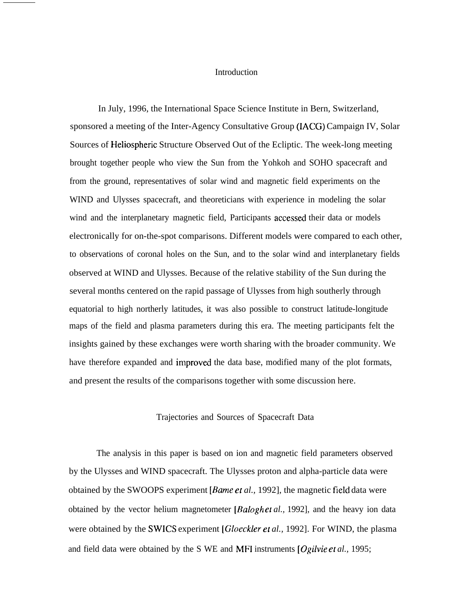## **Introduction**

In July, 1996, the International Space Science Institute in Bern, Switzerland, sponsored a meeting of the Inter-Agency Consultative Group (IACG) Campaign IV, Solar Sources of Heliospheric Structure Observed Out of the Ecliptic. The week-long meeting brought together people who view the Sun from the Yohkoh and SOHO spacecraft and from the ground, representatives of solar wind and magnetic field experiments on the WIND and Ulysses spacecraft, and theoreticians with experience in modeling the solar wind and the interplanetary magnetic field, Participants accessed their data or models electronically for on-the-spot comparisons. Different models were compared to each other, to observations of coronal holes on the Sun, and to the solar wind and interplanetary fields observed at WIND and Ulysses. Because of the relative stability of the Sun during the several months centered on the rapid passage of Ulysses from high southerly through equatorial to high northerly latitudes, it was also possible to construct latitude-longitude maps of the field and plasma parameters during this era. The meeting participants felt the insights gained by these exchanges were worth sharing with the broader community. We have therefore expanded and improved the data base, modified many of the plot formats, and present the results of the comparisons together with some discussion here.

## Trajectories and Sources of Spacecraft Data

The analysis in this paper is based on ion and magnetic field parameters observed by the Ulysses and WIND spacecraft. The Ulysses proton and alpha-particle data were obtained by the SWOOPS experiment [Bame et *al.,* 1992], the magnetic field data were obtained by the vector helium magnetometer *[Baloghet al., 1992]*, and the heavy ion data were obtained by the SWICS experiment [Gloeckler et *al.,* 1992]. For WIND, the plasma and field data were obtained by the S WE and MFI instruments *[Ogilvie er al.,* 1995;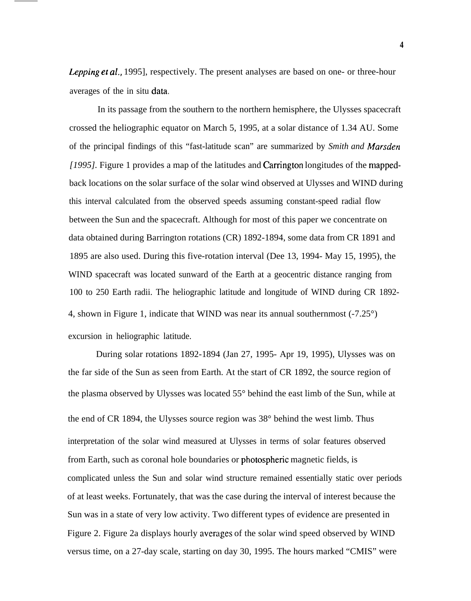*Lepping et al.*, 1995], respectively. The present analyses are based on one- or three-hour averages of the in situ data.

In its passage from the southern to the northern hemisphere, the Ulysses spacecraft crossed the heliographic equator on March 5, 1995, at a solar distance of 1.34 AU. Some of the principal findings of this "fast-latitude scan" are summarized by *Smith and Marsden [1995]*. Figure 1 provides a map of the latitudes and Carrington longitudes of the mappedback locations on the solar surface of the solar wind observed at Ulysses and WIND during this interval calculated from the observed speeds assuming constant-speed radial flow between the Sun and the spacecraft. Although for most of this paper we concentrate on data obtained during Barrington rotations (CR) 1892-1894, some data from CR 1891 and 1895 are also used. During this five-rotation interval (Dee 13, 1994- May 15, 1995), the WIND spacecraft was located sunward of the Earth at a geocentric distance ranging from 100 to 250 Earth radii. The heliographic latitude and longitude of WIND during CR 1892- 4, shown in Figure 1, indicate that WIND was near its annual southernmost (-7.25°) excursion in heliographic latitude.

During solar rotations 1892-1894 (Jan 27, 1995- Apr 19, 1995), Ulysses was on the far side of the Sun as seen from Earth. At the start of CR 1892, the source region of the plasma observed by Ulysses was located 55° behind the east limb of the Sun, while at the end of CR 1894, the Ulysses source region was 38° behind the west limb. Thus interpretation of the solar wind measured at Ulysses in terms of solar features observed from Earth, such as coronal hole boundaries or photosphenc magnetic fields, is complicated unless the Sun and solar wind structure remained essentially static over periods of at least weeks. Fortunately, that was the case during the interval of interest because the Sun was in a state of very low activity. Two different types of evidence are presented in Figure 2. Figure 2a displays hourly averages of the solar wind speed observed by WIND versus time, on a 27-day scale, starting on day 30, 1995. The hours marked "CMIS" were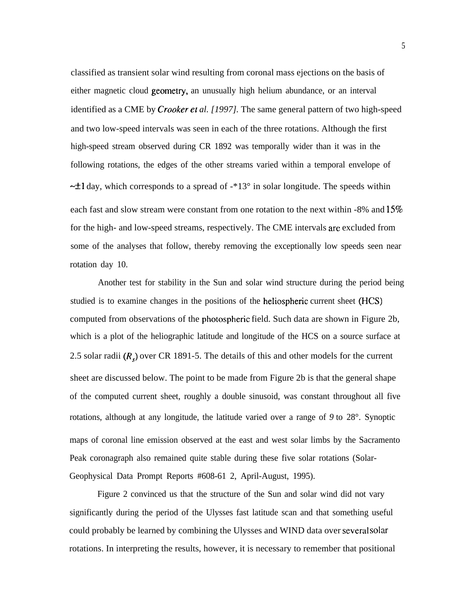classified as transient solar wind resulting from coronal mass ejections on the basis of either magnetic cloud geometry, an unusually high helium abundance, or an interval identified as a CME by *Crooker ef al. [1997].* The same general pattern of two high-speed and two low-speed intervals was seen in each of the three rotations. Although the first high-speed stream observed during CR 1892 was temporally wider than it was in the following rotations, the edges of the other streams varied within a temporal envelope of  $\sim$ ±1 day, which corresponds to a spread of -\*13° in solar longitude. The speeds within each fast and slow stream were constant from one rotation to the next within -8% and  $15\%$ for the high- and low-speed streams, respectively. The CME intervals arc excluded from some of the analyses that follow, thereby removing the exceptionally low speeds seen near rotation day 10.

Another test for stability in the Sun and solar wind structure during the period being studied is to examine changes in the positions of the heliospheric current sheet (HCS) computed from observations of the photospheric field. Such data are shown in Figure 2b, which is a plot of the heliographic latitude and longitude of the HCS on a source surface at 2.5 solar radii  $(R<sub>s</sub>)$  over CR 1891-5. The details of this and other models for the current sheet are discussed below. The point to be made from Figure 2b is that the general shape of the computed current sheet, roughly a double sinusoid, was constant throughout all five rotations, although at any longitude, the latitude varied over a range of *9* to 28°. Synoptic maps of coronal line emission observed at the east and west solar limbs by the Sacramento Peak coronagraph also remained quite stable during these five solar rotations (Solar-Geophysical Data Prompt Reports #608-61 2, April-August, 1995).

Figure 2 convinced us that the structure of the Sun and solar wind did not vary significantly during the period of the Ulysses fast latitude scan and that something useful could probably be learned by combining the Ulysses and WIND data over several solar rotations. In interpreting the results, however, it is necessary to remember that positional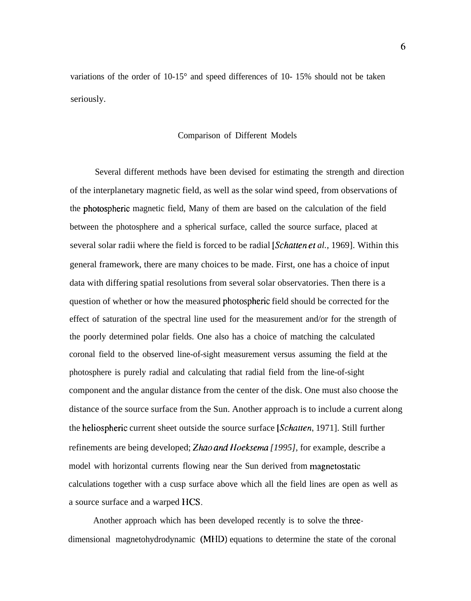variations of the order of 10-15° and speed differences of 10- 15% should not be taken seriously.

## Comparison of Different Models

Several different methods have been devised for estimating the strength and direction of the interplanetary magnetic field, as well as the solar wind speed, from observations of the photospheric magnetic field, Many of them are based on the calculation of the field between the photosphere and a spherical surface, called the source surface, placed at several solar radii where the field is forced to be radial *[Schatfen et al.,* 1969]. Within this general framework, there are many choices to be made. First, one has a choice of input data with differing spatial resolutions from several solar observatories. Then there is a question of whether or how the measured photospheric field should be corrected for the effect of saturation of the spectral line used for the measurement and/or for the strength of the poorly determined polar fields. One also has a choice of matching the calculated coronal field to the observed line-of-sight measurement versus assuming the field at the photosphere is purely radial and calculating that radial field from the line-of-sight component and the angular distance from the center of the disk. One must also choose the distance of the source surface from the Sun. Another approach is to include a current along the heliospheric current sheet outside the source surface [Schatten, 1971]. Still further refinements are being developed; Zhao and *Hoeksema* [1995], for example, describe a model with horizontal currents flowing near the Sun derived from magnetostatic calculations together with a cusp surface above which all the field lines are open as well as a source surface and a warped HCS.

Another approach which has been developed recently is to solve the threedimensional magnetohydrodynamic (MfID) equations to determine the state of the coronal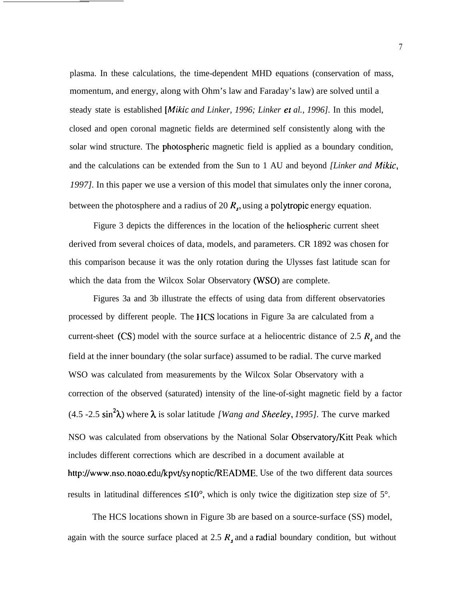plasma. In these calculations, the time-dependent MHD equations (conservation of mass, momentum, and energy, along with Ohm's law and Faraday's law) are solved until a steady state is established [Mikic *and Linker, 1996; Linker ef al., 1996].* In this model, closed and open coronal magnetic fields are determined self consistently along with the solar wind structure. The photospheric magnetic field is applied as a boundary condition, and the calculations can be extended from the Sun to 1 AU and beyond *[Linker and Mikic, 1997].* In this paper we use a version of this model that simulates only the inner corona, between the photosphere and a radius of 20 *R,,* using a polytropic energy equation.

Figure 3 depicts the differences in the location of the heliospheric current sheet derived from several choices of data, models, and parameters. CR 1892 was chosen for this comparison because it was the only rotation during the Ulysses fast latitude scan for which the data from the Wilcox Solar Observatory (WSO) are complete.

Figures 3a and 3b illustrate the effects of using data from different observatories processed by different people. The IICS locations in Figure 3a are calculated from a current-sheet (CS) model with the source surface at a heliocentric distance of 2.5 *R,* and the field at the inner boundary (the solar surface) assumed to be radial. The curve marked WSO was calculated from measurements by the Wilcox Solar Observatory with a correction of the observed (saturated) intensity of the line-of-sight magnetic field by a factor (4.5 -2.5 sin<sup>2</sup> $\lambda$ ) where  $\lambda$  is solar latitude *[Wang and Sheeley, 1995]*. The curve marked NSO was calculated from observations by the National Solar Observatory/Kitt Peak which includes different corrections which are described in a document available at http://www.nso. noao.edu/kpvt/sy noptic/README. Use of the two different data sources results in latitudinal differences  $\leq 10^{\circ}$ , which is only twice the digitization step size of 5°.

The HCS locations shown in Figure 3b are based on a source-surface (SS) model, again with the source surface placed at 2.5  $R<sub>s</sub>$  and a radial boundary condition, but without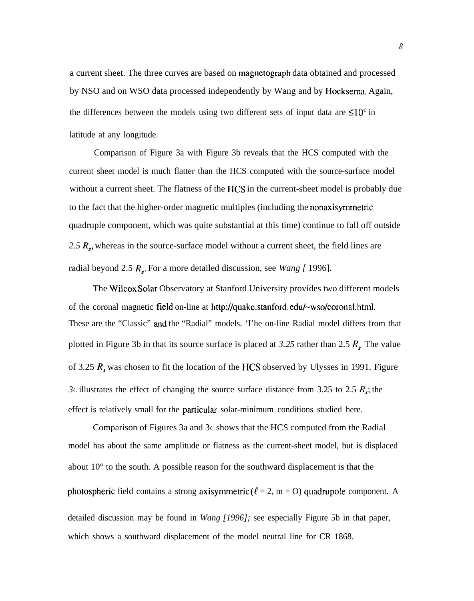a current sheet. The three curves are based on magnetograph data obtained and processed by NSO and on WSO data processed independently by Wang and by Hoeksema. Again, the differences between the models using two different sets of input data are  $\leq 10^{\circ}$  in latitude at any longitude.

Comparison of Figure 3a with Figure 3b reveals that the HCS computed with the current sheet model is much flatter than the HCS computed with the source-surface model without a current sheet. The flatness of the HCS in the current-sheet model is probably due to the fact that the higher-order magnetic multiples (including the nonaxisymrnetric quadruple component, which was quite substantial at this time) continue to fall off outside *2.5 R.,* whereas in the source-surface model without a current sheet, the field lines are radial beyond 2.5  $R_s$ . For a more detailed discussion, see *Wang* [ 1996].

The Wilcox Solar Observatory at Stanford University provides two different models of the coronal magnetic field on-line at http://quake.stanford.edu/~wso/coronal.html. These are the "Classic" and the "Radial" models. 'I'he on-line Radial model differs from that plotted in Figure 3b in that its source surface is placed at *3.25* rather than 2.5 *R..* The value of 3.25 *R,* was chosen to fit the location of the IICS observed by Ulysses in 1991. Figure *3c* illustrates the effect of changing the source surface distance from 3.25 to 2.5  $R_s$ ; the effect is relatively small for the particular solar-minimum conditions studied here.

Comparison of Figures 3a and 3C shows that the HCS computed from the Radial model has about the same amplitude or flatness as the current-sheet model, but is displaced about 10° to the south. A possible reason for the southward displacement is that the photospheric field contains a strong axisymmetric ( $\ell = 2$ , m = O) quadrupole component. A detailed discussion may be found in *Wang [1996];* see especially Figure 5b in that paper, which shows a southward displacement of the model neutral line for CR 1868.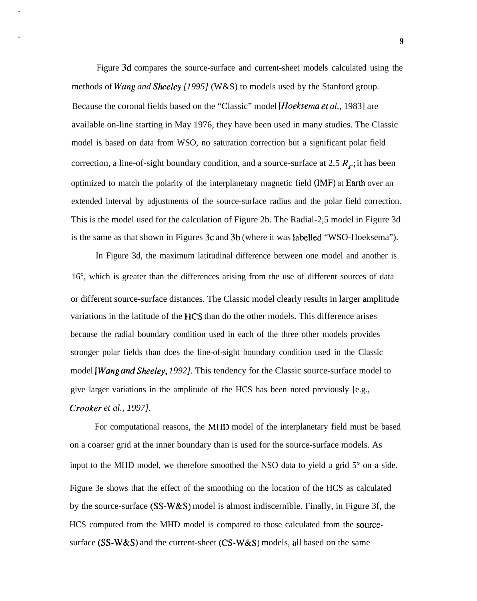Figure 3d compares the source-surface and current-sheet models calculated using the methods of Wang *and Sheeley [1995]* (W&S) to models used by the Stanford group. Because the coronal fields based on the "Classic" model [Hoeksema ef *al.,* 1983] are available on-line starting in May 1976, they have been used in many studies. The Classic model is based on data from WSO, no saturation correction but a significant polar field correction, a line-of-sight boundary condition, and a source-surface at 2.5  $R_s$ ; it has been optimized to match the polarity of the interplanetary magnetic field (IMF) at Earth over an extended interval by adjustments of the source-surface radius and the polar field correction. This is the model used for the calculation of Figure 2b. The Radial-2,5 model in Figure 3d is the same as that shown in Figures 3C and 3b (where it was labelled "WSO-Hoeksema").

In Figure 3d, the maximum latitudinal difference between one model and another is 16°, which is greater than the differences arising from the use of different sources of data or different source-surface distances. The Classic model clearly results in larger amplitude variations in the latitude of the lICS than do the other models. This difference arises because the radial boundary condition used in each of the three other models provides stronger polar fields than does the line-of-sight boundary condition used in the Classic model [Wang *and Sheeley, 1992].* This tendency for the Classic source-surface model to give larger variations in the amplitude of the HCS has been noted previously [e.g., *Crooker et al., 1997].*

For computational reasons, the MHD model of the interplanetary field must be based on a coarser grid at the inner boundary than is used for the source-surface models. As input to the MHD model, we therefore smoothed the NSO data to yield a grid 5° on a side. Figure 3e shows that the effect of the smoothing on the location of the HCS as calculated by the source-surface  $(SS-W&S)$  model is almost indiscernible. Finally, in Figure 3f, the HCS computed from the MHD model is compared to those calculated from the sourcesurface (SS-W&S) and the current-sheet (CS-W&S) models, all based on the same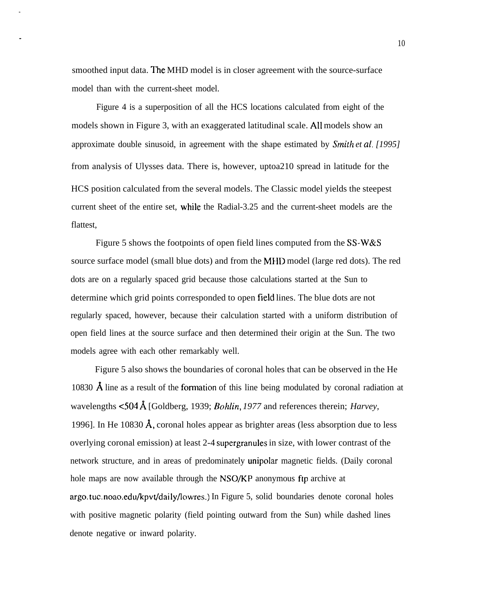smoothed input data. The MHD model is in closer agreement with the source-surface model than with the current-sheet model.

Figure 4 is a superposition of all the HCS locations calculated from eight of the models shown in Figure 3, with an exaggerated latitudinal scale. All models show an approximate double sinusoid, in agreement with the shape estimated by *Smith et al. [1995]* from analysis of Ulysses data. There is, however, uptoa210 spread in latitude for the HCS position calculated from the several models. The Classic model yields the steepest current sheet of the entire set, while the Radial-3.25 and the current-sheet models are the flattest.

Figure 5 shows the footpoints of open field lines computed from the SS-W&S source surface model (small blue dots) and from the MHD model (large red dots). The red dots are on a regularly spaced grid because those calculations started at the Sun to determine which grid points corresponded to open field lines. The blue dots are not regularly spaced, however, because their calculation started with a uniform distribution of open field lines at the source surface and then determined their origin at the Sun. The two models agree with each other remarkably well.

Figure 5 also shows the boundaries of coronal holes that can be observed in the He 10830  $\AA$  line as a result of the formation of this line being modulated by coronal radiation at wavelengths <504 Å [Goldberg, 1939; *Bohlin*, 1977 and references therein; *Harvey*, 1996]. In He 10830  $\AA$ , coronal holes appear as brighter areas (less absorption due to less overlying coronal emission) at least 2-4 supergranules in size, with lower contrast of the network structure, and in areas of predominately unipolar magnetic fields. (Daily coronal hole maps are now available through the NSO/KP anonymous ftp archive at argo. tuc. noao.edu/kpvt/dai ly/lowres.) In Figure 5, solid boundaries denote coronal holes with positive magnetic polarity (field pointing outward from the Sun) while dashed lines denote negative or inward polarity.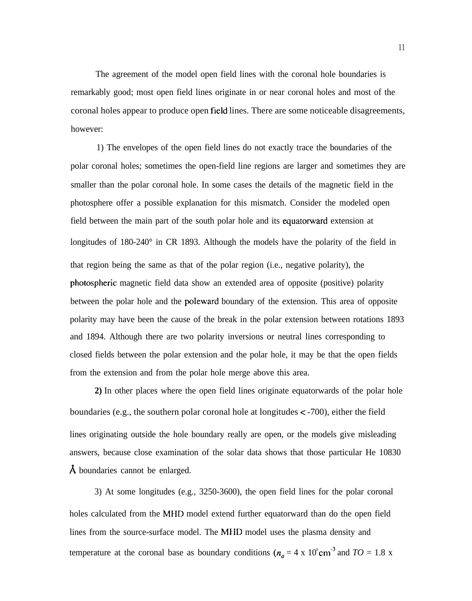The agreement of the model open field lines with the coronal hole boundaries is remarkably good; most open field lines originate in or near coronal holes and most of the coronal holes appear to produce open field lines. There are some noticeable disagreements, however:

1) The envelopes of the open field lines do not exactly trace the boundaries of the polar coronal holes; sometimes the open-field line regions are larger and sometimes they are smaller than the polar coronal hole. In some cases the details of the magnetic field in the photosphere offer a possible explanation for this mismatch. Consider the modeled open field between the main part of the south polar hole and its equatorward extension at longitudes of 180-240° in CR 1893. Although the models have the polarity of the field in that region being the same as that of the polar region (i.e., negative polarity), the photospheric magnetic field data show an extended area of opposite (positive) polarity between the polar hole and the poleward boundary of the extension. This area of opposite polarity may have been the cause of the break in the polar extension between rotations 1893 and 1894. Although there are two polarity inversions or neutral lines corresponding to closed fields between the polar extension and the polar hole, it may be that the open fields from the extension and from the polar hole merge above this area.

**2)** In other places where the open field lines originate equatorwards of the polar hole boundaries (e.g., the southern polar coronal hole at longitudes  $\lt$  -700), either the field lines originating outside the hole boundary really are open, or the models give misleading answers, because close examination of the solar data shows that those particular He 10830  $\AA$  boundaries cannot be enlarged.

3) At some longitudes (e.g., 3250-3600), the open field lines for the polar coronal holes calculated from the MHD model extend further equatorward than do the open field lines from the source-surface model. The MIID model uses the plasma density and temperature at the coronal base as boundary conditions ( $n_a = 4 \times 10^8 \text{cm}^{-3}$  and  $TO = 1.8 \text{ x}$ )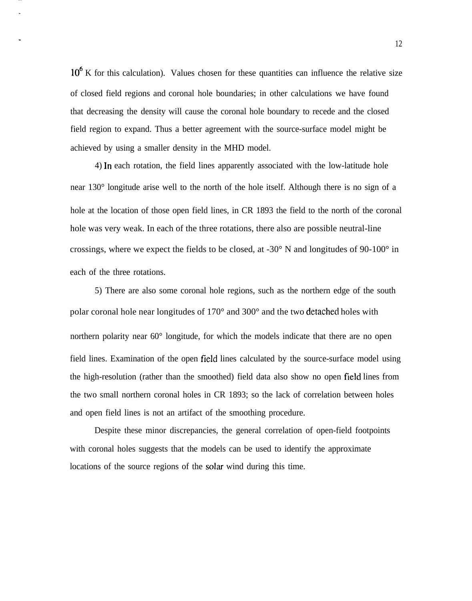10<sup>°</sup> K for this calculation). Values chosen for these quantities can influence the relative size of closed field regions and coronal hole boundaries; in other calculations we have found that decreasing the density will cause the coronal hole boundary to recede and the closed field region to expand. Thus a better agreement with the source-surface model might be achieved by using a smaller density in the MHD model.

4) In each rotation, the field lines apparently associated with the low-latitude hole near 130° longitude arise well to the north of the hole itself. Although there is no sign of a hole at the location of those open field lines, in CR 1893 the field to the north of the coronal hole was very weak. In each of the three rotations, there also are possible neutral-line crossings, where we expect the fields to be closed, at -30° N and longitudes of 90-100° in each of the three rotations.

5) There are also some coronal hole regions, such as the northern edge of the south polar coronal hole near longitudes of 170° and 300° and the two detachecl holes with northern polarity near 60° longitude, for which the models indicate that there are no open field lines. Examination of the open field lines calculated by the source-surface model using the high-resolution (rather than the smoothed) field data also show no open field lines from the two small northern coronal holes in CR 1893; so the lack of correlation between holes and open field lines is not an artifact of the smoothing procedure.

Despite these minor discrepancies, the general correlation of open-field footpoints with coronal holes suggests that the models can be used to identify the approximate locations of the source regions of the solar wind during this time.

12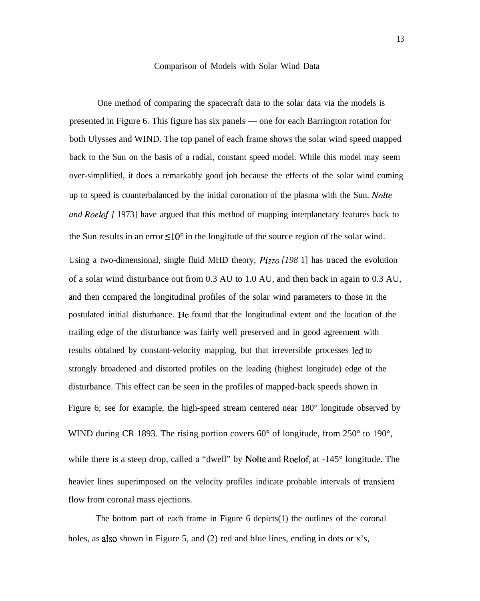## Comparison of Models with Solar Wind Data

One method of comparing the spacecraft data to the solar data via the models is presented in Figure 6. This figure has six panels — one for each Barrington rotation for both Ulysses and WIND. The top panel of each frame shows the solar wind speed mapped back to the Sun on the basis of a radial, constant speed model. While this model may seem over-simplified, it does a remarkably good job because the effects of the solar wind coming up to speed is counterbalanced by the initial coronation of the plasma with the Sun. *Nolte and Roelof [* 1973] have argued that this method of mapping interplanetary features back to the Sun results in an error  $\leq 10^{\circ}$  in the longitude of the source region of the solar wind. Using a two-dimensional, single fluid MHD theory, *Pizzo [198* 1] has traced the evolution of a solar wind disturbance out from 0.3 AU to 1.0 AU, and then back in again to 0.3 AU, and then compared the longitudinal profiles of the solar wind parameters to those in the postulated initial disturbance. I Ie found that the longitudinal extent and the location of the trailing edge of the disturbance was fairly well preserved and in good agreement with results obtained by constant-velocity mapping, but that irreversible processes led to strongly broadened and distorted profiles on the leading (highest longitude) edge of the disturbance. This effect can be seen in the profiles of mapped-back speeds shown in Figure 6; see for example, the high-speed stream centered near 180° longitude observed by WIND during CR 1893. The rising portion covers 60° of longitude, from 250° to 190°, while there is a steep drop, called a "dwell" by Nolte and Roelof, at -145° longitude. The heavier lines superimposed on the velocity profiles indicate probable intervals of transient flow from coronal mass ejections.

The bottom part of each frame in Figure  $6$  depicts $(1)$  the outlines of the coronal holes, as also shown in Figure 5, and (2) red and blue lines, ending in dots or x's,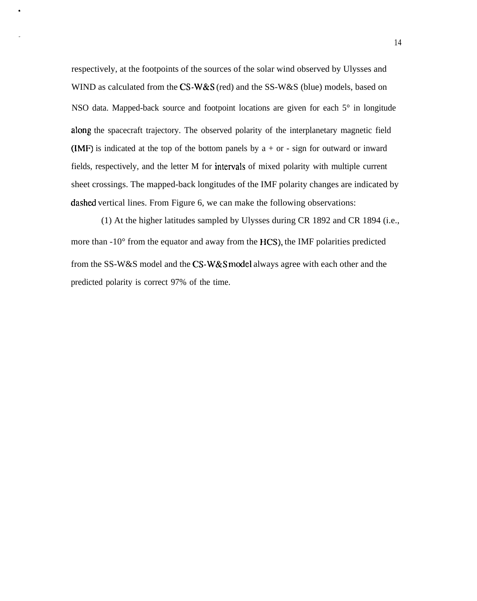respectively, at the footpoints of the sources of the solar wind observed by Ulysses and WIND as calculated from the CS-W&S (red) and the SS-W&S (blue) models, based on NSO data. Mapped-back source and footpoint locations are given for each 5° in longitude along the spacecraft trajectory. The observed polarity of the interplanetary magnetic field (IMF) is indicated at the top of the bottom panels by  $a + or - sign$  for outward or inward fields, respectively, and the letter M for intervals of mixed polarity with multiple current sheet crossings. The mapped-back longitudes of the IMF polarity changes are indicated by dashed vertical lines. From Figure 6, we can make the following observations:

(1) At the higher latitudes sampled by Ulysses during CR 1892 and CR 1894 (i.e., more than -10° from the equator and away from the HCS), the IMF polarities predicted from the SS-W&S model and the CS-W&S model always agree with each other and the predicted polarity is correct 97% of the time.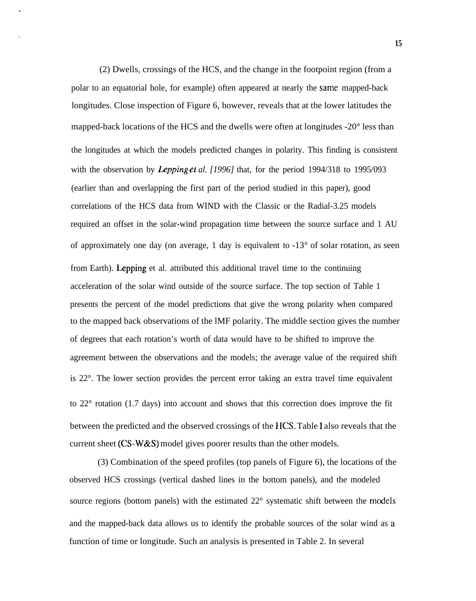(2) Dwells, crossings of the HCS, and the change in the footpoint region (from a polar to an equatorial hole, for example) often appeared at nearly the same mapped-back longitudes. Close inspection of Figure 6, however, reveals that at the lower latitudes the mapped-back locations of the HCS and the dwells were often at longitudes -20° less than the longitudes at which the models predicted changes in polarity. This finding is consistent with the observation by *Lepping et al.* [1996] that, for the period 1994/318 to 1995/093 (earlier than and overlapping the first part of the period studied in this paper), good correlations of the HCS data from WIND with the Classic or the Radial-3.25 models required an offset in the solar-wind propagation time between the source surface and 1 AU of approximately one day (on average, 1 day is equivalent to  $-13^{\circ}$  of solar rotation, as seen from Earth). Lepping et al. attributed this additional travel time to the continuing acceleration of the solar wind outside of the source surface. The top section of Table 1 presents the percent of the model predictions that give the wrong polarity when compared to the mapped back observations of the lMF polarity. The middle section gives the number of degrees that each rotation's worth of data would have to be shifted to improve the agreement between the observations and the models; the average value of the required shift is 22°. The lower section provides the percent error taking an extra travel time equivalent to 22° rotation (1.7 days) into account and shows that this correction does improve the fit between the predicted and the observed crossings of the HCS. Table 1 also reveals that the current sheet (CS-W&S) model gives poorer results than the other models.

(3) Combination of the speed profiles (top panels of Figure 6), the locations of the observed HCS crossings (vertical dashed lines in the bottom panels), and the modeled source regions (bottom panels) with the estimated 22° systematic shift between the models and the mapped-back data allows us to identify the probable sources of the solar wind as a function of time or longitude. Such an analysis is presented in Table 2. In several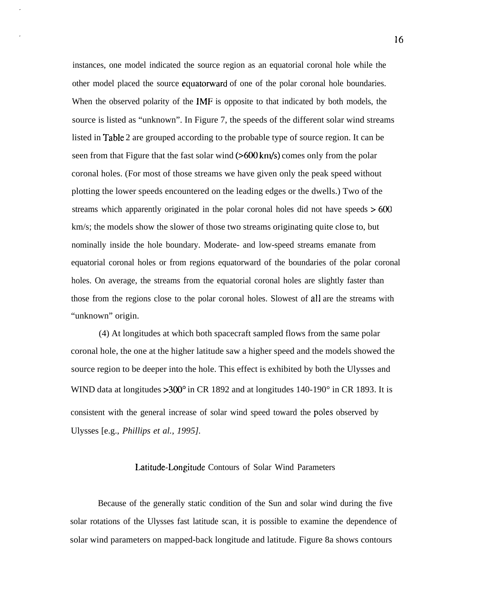instances, one model indicated the source region as an equatorial coronal hole while the other model placed the source equatorward of one of the polar coronal hole boundaries. When the observed polarity of the IMF is opposite to that indicated by both models, the source is listed as "unknown". In Figure 7, the speeds of the different solar wind streams listed in Table 2 are grouped according to the probable type of source region. It can be seen from that Figure that the fast solar wind  $($ >600 km/s) comes only from the polar coronal holes. (For most of those streams we have given only the peak speed without plotting the lower speeds encountered on the leading edges or the dwells.) Two of the streams which apparently originated in the polar coronal holes did not have speeds  $>600$ km/s; the models show the slower of those two streams originating quite close to, but nominally inside the hole boundary. Moderate- and low-speed streams emanate from equatorial coronal holes or from regions equatorward of the boundaries of the polar coronal holes. On average, the streams from the equatorial coronal holes are slightly faster than those from the regions close to the polar coronal holes. Slowest of all are the streams with "unknown" origin.

(4) At longitudes at which both spacecraft sampled flows from the same polar coronal hole, the one at the higher latitude saw a higher speed and the models showed the source region to be deeper into the hole. This effect is exhibited by both the Ulysses and WIND data at longitudes > 300<sup>°</sup> in CR 1892 and at longitudes 140-190<sup>°</sup> in CR 1893. It is consistent with the general increase of solar wind speed toward the poles observed by Ulysses [e.g., *Phillips et al., 1995].*

## Latitude-Longitude Contours of Solar Wind Parameters

Because of the generally static condition of the Sun and solar wind during the five solar rotations of the Ulysses fast latitude scan, it is possible to examine the dependence of solar wind parameters on mapped-back longitude and latitude. Figure 8a shows contours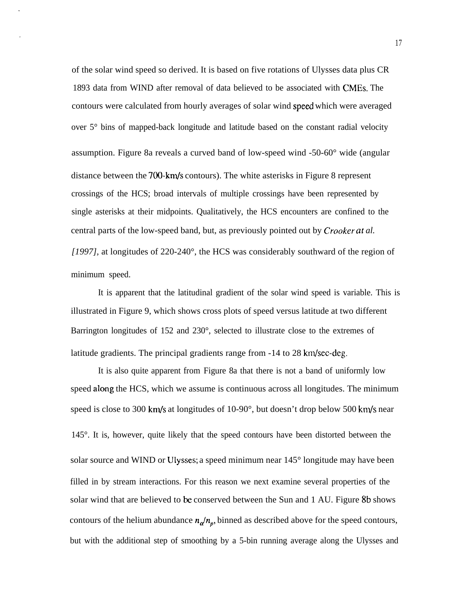of the solar wind speed so derived. It is based on five rotations of Ulysses data plus CR 1893 data from WIND after removal of data believed to be associated with CMES. The contours were calculated from hourly averages of solar wind sped which were averaged over 5° bins of mapped-back longitude and latitude based on the constant radial velocity assumption. Figure 8a reveals a curved band of low-speed wind -50-60° wide (angular distance between the  $700 \cdot km/s$  contours). The white asterisks in Figure 8 represent crossings of the HCS; broad intervals of multiple crossings have been represented by single asterisks at their midpoints. Qualitatively, the HCS encounters are confined to the central parts of the low-speed band, but, as previously pointed out by *Crooker at al. [1997],* at longitudes of 220-240°, the HCS was considerably southward of the region of minimum speed.

It is apparent that the latitudinal gradient of the solar wind speed is variable. This is illustrated in Figure 9, which shows cross plots of speed versus latitude at two different Barrington longitudes of 152 and 230°, selected to illustrate close to the extremes of latitude gradients. The principal gradients range from -14 to 28 km/sec-deg.

It is also quite apparent from Figure 8a that there is not a band of uniformly low speed along the HCS, which we assume is continuous across all longitudes. The minimum speed is close to 300 km/s at longitudes of  $10-90^\circ$ , but doesn't drop below 500 km/s near 145°. It is, however, quite likely that the speed contours have been distorted between the solar source and WIND or Ulysses; a speed minimum near 145° longitude may have been filled in by stream interactions. For this reason we next examine several properties of the solar wind that are believed to be conserved between the Sun and 1 AU. Figure 8b shows contours of the helium abundance  $n_a/n_p$ , binned as described above for the speed contours, but with the additional step of smoothing by a 5-bin running average along the Ulysses and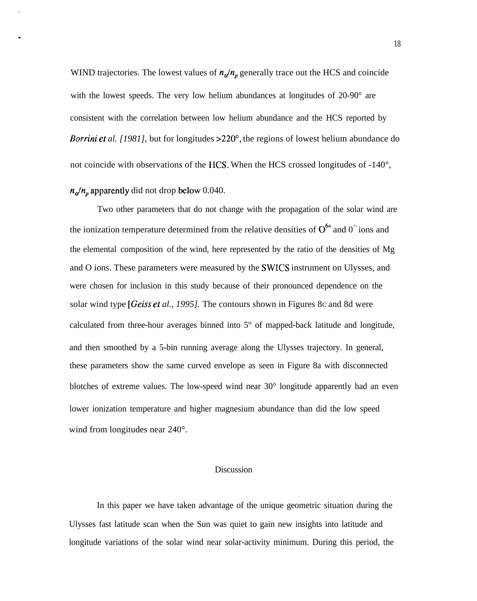WIND trajectories. The lowest values of  $n_a/n_p$  generally trace out the HCS and coincide with the lowest speeds. The very low helium abundances at longitudes of 20-90° are consistent with the correlation between low helium abundance and the HCS reported by *Borrini et al.* [1981], but for longitudes > 220<sup>°</sup>, the regions of lowest helium abundance do not coincide with observations of the HCS. When the HCS crossed longitudes of -140°,

# $n_{\alpha}/n_{p}$  apparently did not drop below 0.040.

Two other parameters that do not change with the propagation of the solar wind are the ionization temperature determined from the relative densities of  $O^{6+}$  and  $O^{7+}$  ions and the elemental composition of the wind, here represented by the ratio of the densities of Mg and O ions. These parameters were measured by the SWICS instrument on Ulysses, and were chosen for inclusion in this study because of their pronounced dependence on the solar wind type *[Geiss el al., 1995].* The contours shown in Figures 8C and 8d were calculated from three-hour averages binned into 5° of mapped-back latitude and longitude, and then smoothed by a 5-bin running average along the Ulysses trajectory. In general, these parameters show the same curved envelope as seen in Figure 8a with disconnected blotches of extreme values. The low-speed wind near 30° longitude apparently had an even lower ionization temperature and higher magnesium abundance than did the low speed wind from longitudes near 240°.

# Discussion

In this paper we have taken advantage of the unique geometric situation during the Ulysses fast latitude scan when the Sun was quiet to gain new insights into latitude and longitude variations of the solar wind near solar-activity minimum. During this period, the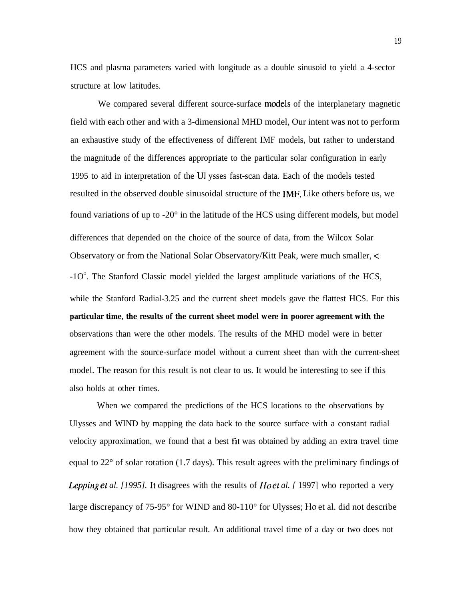HCS and plasma parameters varied with longitude as a double sinusoid to yield a 4-sector structure at low latitudes.

We compared several different source-surface models of the interplanetary magnetic field with each other and with a 3-dimensional MHD model, Our intent was not to perform an exhaustive study of the effectiveness of different IMF models, but rather to understand the magnitude of the differences appropriate to the particular solar configuration in early 1995 to aid in interpretation of the U1 ysses fast-scan data. Each of the models tested resulted in the observed double sinusoidal structure of the IMF. Like others before us, we found variations of up to -20° in the latitude of the HCS using different models, but model differences that depended on the choice of the source of data, from the Wilcox Solar Observatory or from the National Solar Observatory/Kitt Peak, were much smaller, <  $-10^{\circ}$ . The Stanford Classic model yielded the largest amplitude variations of the HCS, while the Stanford Radial-3.25 and the current sheet models gave the flattest HCS. For this **particular time, the results of the current sheet model were in poorer agreement with the** observations than were the other models. The results of the MHD model were in better agreement with the source-surface model without a current sheet than with the current-sheet model. The reason for this result is not clear to us. It would be interesting to see if this also holds at other times.

When we compared the predictions of the HCS locations to the observations by Ulysses and WIND by mapping the data back to the source surface with a constant radial velocity approximation, we found that a best fit was obtained by adding an extra travel time equal to 22° of solar rotation (1.7 days). This result agrees with the preliminary findings of *Lepping et al. [1995].* It disagrees with the results of *Ho et al. [* 1997] who reported a very large discrepancy of  $75-95^{\circ}$  for WIND and  $80-110^{\circ}$  for Ulysses; Ho et al. did not describe how they obtained that particular result. An additional travel time of a day or two does not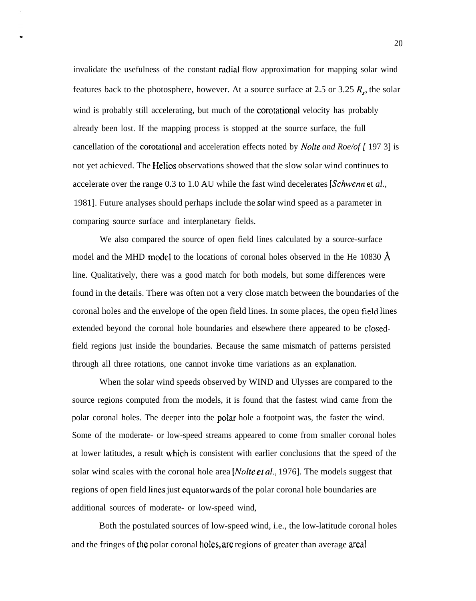invalidate the usefulness of the constant radial flow approximation for mapping solar wind features back to the photosphere, however. At a source surface at 2.5 or 3.25  $R_s$ , the solar wind is probably still accelerating, but much of the corotational velocity has probably already been lost. If the mapping process is stopped at the source surface, the full cancellation of the corotational and acceleration effects noted by *Nolte and Roe/of* [ 197 3] is not yet achieved. The Helios observations showed that the slow solar wind continues to accelerate over the range 0.3 to 1.0 AU while the fast wind decelerates [Schwenn et *al.,* 1981]. Future analyses should perhaps include the solar wind speed as a parameter in comparing source surface and interplanetary fields.

We also compared the source of open field lines calculated by a source-surface model and the MHD model to the locations of coronal holes observed in the He 10830  $\AA$ line. Qualitatively, there was a good match for both models, but some differences were found in the details. There was often not a very close match between the boundaries of the coronal holes and the envelope of the open field lines. In some places, the open Field lines extended beyond the coronal hole boundaries and elsewhere there appeared to be closedfield regions just inside the boundaries. Because the same mismatch of patterns persisted through all three rotations, one cannot invoke time variations as an explanation.

When the solar wind speeds observed by WIND and Ulysses are compared to the source regions computed from the models, it is found that the fastest wind came from the polar coronal holes. The deeper into the polar hole a footpoint was, the faster the wind. Some of the moderate- or low-speed streams appeared to come from smaller coronal holes at lower latitudes, a result which is consistent with earlier conclusions that the speed of the solar wind scales with the coronal hole area [*Nolte et al.*, 1976]. The models suggest that regions of open field lines just equatorwards of the polar coronal hole boundaries are additional sources of moderate- or low-speed wind,

Both the postulated sources of low-speed wind, i.e., the low-latitude coronal holes and the fringes of the polar coronal holes, are regions of greater than average areal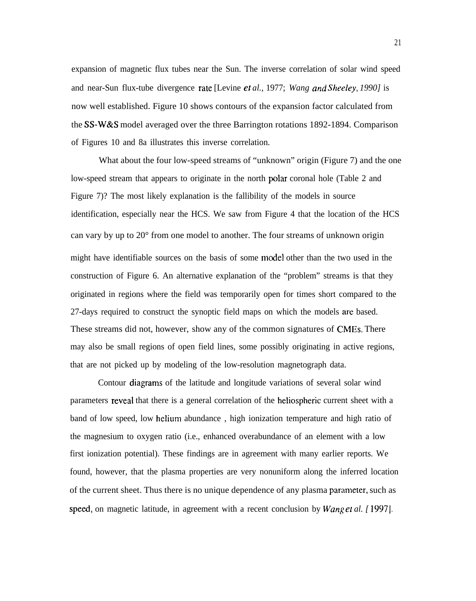expansion of magnetic flux tubes near the Sun. The inverse correlation of solar wind speed and near-Sun flux-tube divergence mte [Levine et *al.,* 1977; *Wang and Sheeley, 1990]* is now well established. Figure 10 shows contours of the expansion factor calculated from the SS-W&S model averaged over the three Barrington rotations 1892-1894. Comparison of Figures 10 and 8a illustrates this inverse correlation.

What about the four low-speed streams of "unknown" origin (Figure 7) and the one low-speed stream that appears to originate in the north polar coronal hole (Table 2 and Figure 7)? The most likely explanation is the fallibility of the models in source identification, especially near the HCS. We saw from Figure 4 that the location of the HCS can vary by up to 20° from one model to another. The four streams of unknown origin might have identifiable sources on the basis of some model other than the two used in the construction of Figure 6. An alternative explanation of the "problem" streams is that they originated in regions where the field was temporarily open for times short compared to the 27-days required to construct the synoptic field maps on which the models are based. These streams did not, however, show any of the common signatures of CMES. There may also be small regions of open field lines, some possibly originating in active regions, that are not picked up by modeling of the low-resolution magnetograph data.

Contour diagrams of the latitude and longitude variations of several solar wind parameters reveal that there is a general correlation of the heliospheric current sheet with a band of low speed, low helium abundance , high ionization temperature and high ratio of the magnesium to oxygen ratio (i.e., enhanced overabundance of an element with a low first ionization potential). These findings are in agreement with many earlier reports. We found, however, that the plasma properties are very nonuniform along the inferred location of the current sheet. Thus there is no unique dependence of any plasma parameter, such as speed, on magnetic latitude, in agreement with a recent conclusion by *Wang et al.* [1997].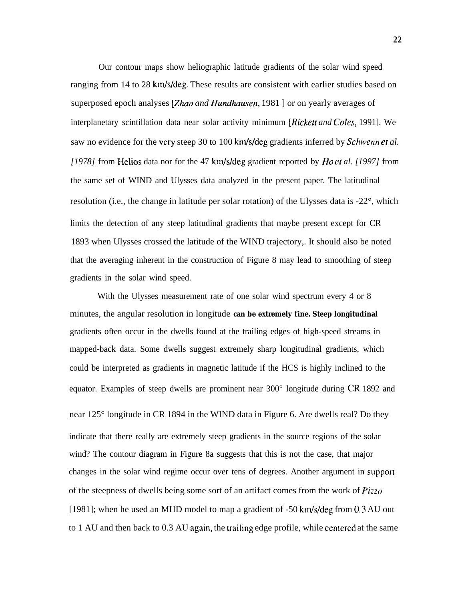Our contour maps show heliographic latitude gradients of the solar wind speed ranging from 14 to 28 km/s/deg. These results are consistent with earlier studies based on superposed epoch analyses [Zhao and Hundhausen, 1981] or on yearly averages of interplanetary scintillation data near solar activity minimum *[Rickett and Co/es,* 1991]. We saw no evidence for the very steep 30 to 100 km/s/deg gradients inferred by *Schwenn et al. [1978]* from Helios data nor for the 47 km/s/deg gradient reported by *Ho et al. [1997]* from the same set of WIND and Ulysses data analyzed in the present paper. The latitudinal resolution (i.e., the change in latitude per solar rotation) of the Ulysses data is -22°, which limits the detection of any steep latitudinal gradients that maybe present except for CR 1893 when Ulysses crossed the latitude of the WIND trajectory,. It should also be noted that the averaging inherent in the construction of Figure 8 may lead to smoothing of steep gradients in the solar wind speed.

With the Ulysses measurement rate of one solar wind spectrum every 4 or 8 minutes, the angular resolution in longitude **can be extremely fine. Steep longitudinal** gradients often occur in the dwells found at the trailing edges of high-speed streams in mapped-back data. Some dwells suggest extremely sharp longitudinal gradients, which could be interpreted as gradients in magnetic latitude if the HCS is highly inclined to the equator. Examples of steep dwells are prominent near 300° longitude during CR 1892 and near 125° longitude in CR 1894 in the WIND data in Figure 6. Are dwells real? Do they indicate that there really are extremely steep gradients in the source regions of the solar wind? The contour diagram in Figure 8a suggests that this is not the case, that major changes in the solar wind regime occur over tens of degrees. Another argument in support of the steepness of dwells being some sort of an artifact comes from the work of *Pizzo* [1981]; when he used an MHD model to map a gradient of  $-50 \text{ km/s/deg from } 0.3 \text{ AU out}$ to  $1$  AU and then back to  $0.3$  AU again, the trailing edge profile, while centered at the same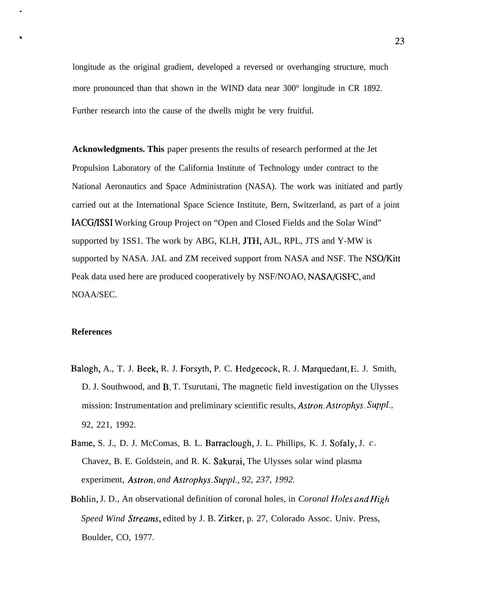longitude as the original gradient, developed a reversed or overhanging structure, much more pronounced than that shown in the WIND data near 300° longitude in CR 1892. Further research into the cause of the dwells might be very fruitful.

**Acknowledgments. This** paper presents the results of research performed at the Jet Propulsion Laboratory of the California Institute of Technology under contract to the National Aeronautics and Space Administration (NASA). The work was initiated and partly carried out at the International Space Science Institute, Bern, Switzerland, as part of a joint IACG/ISSI Working Group Project on "Open and Closed Fields and the Solar Wind" supported by 1SS1. The work by ABG, KLH, JTH, AJL, RPL, JTS and Y-MW is supported by NASA. JAL and ZM received support from NASA and NSF. The NSO/Kitt Peak data used here are produced cooperatively by NSF/NOAO, NASA/GSFC, and NOAA/SEC.

# **References**

- Balogh, A., T. J. Beek, R. J. Forsyth, P. C. Hedgecock, R. J. Marquedant, E. J. Smith, D. J. Southwood, and B. T. Tsurutani, The magnetic field investigation on the Ulysses mission: Instrumentation and preliminary scientific results, Astron. Astrophys. Suppl., 92, 221, 1992.
- Bame, S. J., D. J. McComas, B. L. Barraclough, J. L. Phillips, K. J. Sofaly, J. *c .* Chavez, B. E. Goldstein, and R. K. Sakurai, The Ulysses solar wind plasma experiment, *Astron. and Astrophys. Suppl., 92, 237, 1992.*
- Bohlin, J. D., An observational definition of coronal holes, in *Coronal Holes and Hig/1 Speed Wind Streams*, edited by J. B. Zirker, p. 27, Colorado Assoc. Univ. Press, Boulder, CO, 1977.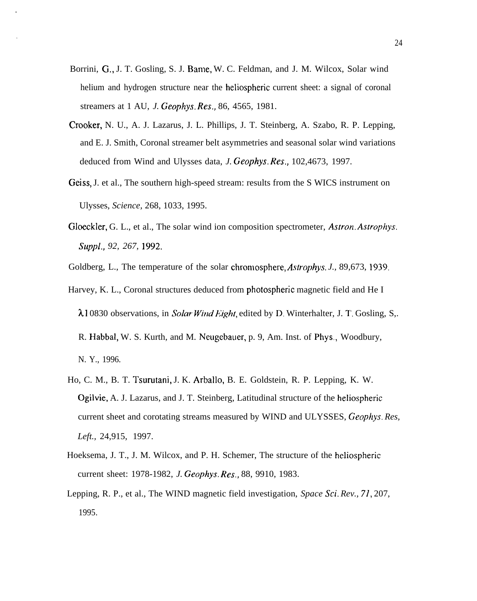- Borrini, G,, J. T. Gosling, S. J. Bame, W. C. Feldman, and J. M. Wilcox, Solar wind helium and hydrogen structure near the heliospheric current sheet: a signal of coronal streamers at 1 AU, *J. Geophys. Res.,* 86, 4565, 1981.
- Crooker, N. U., A. J. Lazarus, J. L. Phillips, J. T. Steinberg, A. Szabo, R. P. Lepping, and E. J. Smith, Coronal streamer belt asymmetries and seasonal solar wind variations deduced from Wind and Ulysses data, *J. Geophys. Res.,* 102,4673, 1997.
- Geiss, J. et al., The southern high-speed stream: results from the S WICS instrument on Ulysses, *Science,* 268, 1033, 1995.
- Gloeckler, G. L., et al., The solar wind ion composition spectrometer, *Astron. Astrophys. Suppl., 92, 267, 1992.*

Goldberg, L., The temperature of the solar chromosphere, *Astrophys. J.,* 89,673, 1939.

- Harvey, K. L., Coronal structures deduced from photospheric magnetic field and He I  $\lambda$ 10830 observations, in *Solar Wind Eight*, edited by D. Winterhalter, J. T. Gosling, S,. R. Habbal, W. S. Kurth, and M. Neugebauer, p. 9, Am. Inst. of Phys., Woodbury, N. Y., 1996.
- Ho, C. M., B. T. Tsurutani, J. K. Arballo, B. E. Goldstein, R. P. Lepping, K. W. Ogilvie, A. J. Lazarus, and J. T. Steinberg, Latitudinal structure of the heliospheric current sheet and corotating streams measured by WIND and ULYSSES, *Geophys. Res, Left.,* 24,915, 1997.
- Hoeksema, J. T., J. M. Wilcox, and P. H. Schemer, The structure of the hcliospheric current sheet: 1978-1982, *J. Geophys, Res.,* 88, 9910, 1983.
- Lepping, R. P., et al., The WIND magnetic field investigation, *Space Sci. Rev.,* 71, 207, 1995.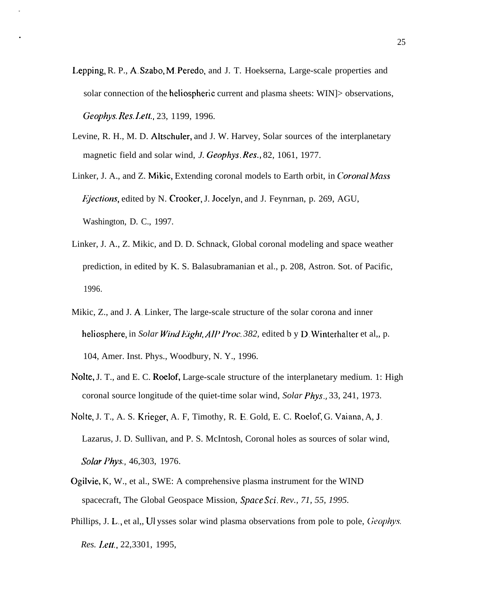- Lepping, R. P., A, Szabo, M, Peredo, and J. T. Hoekserna, Large-scale properties and solar connection of the heliospheric current and plasma sheets: WIN]> observations, *Geophys. Res. I.ett.,* 23, 1199, 1996.
- Levine, R. H., M. D. Altschuler, and J. W. Harvey, Solar sources of the interplanetary magnetic field and solar wind, *J. Geophys. Res.,* 82, 1061, 1977.
- Linker, J. A., and Z. Mikic, Extending coronal models to Earth orbit, in *Coronal Mass Fiections*, edited by N. Crooker, J. Jocelyn, and J. Feynrnan, p. 269, AGU, Washington, D. C., 1997.
- Linker, J. A., Z. Mikic, and D. D. Schnack, Global coronal modeling and space weather prediction, in edited by K. S. Balasubramanian et al., p. 208, Astron. Sot. of Pacific, 1996.
- Mikic, Z., and J. A, Linker, The large-scale structure of the solar corona and inner heliosphere, in *Solar Wind Eight, AIP Proc. 382*, edited b y D. Winterhalter et al., p. 104, Amer. Inst. Phys., Woodbury, N. Y., 1996.
- Nolte, J. T., and E. C. Roelof, Large-scale structure of the interplanetary medium. 1: High coronal source longitude of the quiet-time solar wind, *Solar Phys.,* 33, 241, 1973.
- Nolte, J. T., A. S. Krieger, A. F, Timothy, R. E. Gold, E. C. Roelof, G. Vaiana, A, J, Lazarus, J. D. Sullivan, and P. S. McIntosh, Coronal holes as sources of solar wind, *Solar Phys.,* 46,303, 1976.
- Ogilvie, K, W., et al., SWE: A comprehensive plasma instrument for the WIND spacecraft, The Global Geospace Mission, *Space* Sci. *Rev., 71, 55, 1995.*
- Phillips, J. L., et al., UI ysses solar wind plasma observations from pole to pole, Geophys. *Res. I,ett.,* 22,3301, 1995,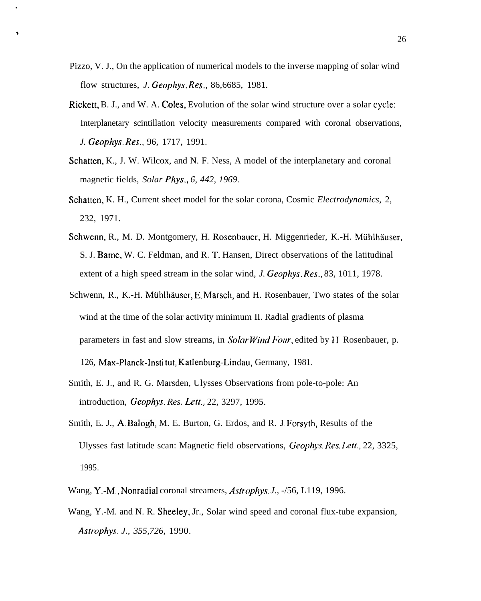Pizzo, V. J., On the application of numerical models to the inverse mapping of solar wind flow structures, *J. Geophys. Res.,* 86,6685, 1981.

\*

- Rickett, B. J., and W. A. Coles, Evolution of the solar wind structure over a solar cycle: Interplanetary scintillation velocity measurements compared with coronal observations, *J. Geophys. Res.,* 96, 1717, 1991.
- Schatten, K., J. W. Wilcox, and N. F. Ness, A model of the interplanetary and coronal magnetic fields, *Solar Phys., 6, 442, 1969.*
- Schatten, K. H., Current sheet model for the solar corona, Cosmic *Electrodynamics,* 2, 232, 1971.
- Schwenn, R., M. D. Montgomery, H. Rosenbauer, H. Miggenrieder, K.-H. Mühlhäuser, S. J. Bame, W. C. Feldman, and R. T. Hansen, Direct observations of the latitudinal extent of a high speed stream in the solar wind, *J. Geophys. Res.,* 83, 1011, 1978.
- Schwenn, R., K.-H. Mühlhäuser, E. Marsch, and H. Rosenbauer, Two states of the solar wind at the time of the solar activity minimum II. Radial gradients of plasma parameters in fast and slow streams, in *Solar Wind Four*, edited by H. Rosenbauer, p. 126, Max-Planck-Insti tut, Katlenburg-Lindau, Germany, 1981.
- Smith, E. J., and R. G. Marsden, Ulysses Observations from pole-to-pole: An introduction, *Geophys. Res. Lett.*, 22, 3297, 1995.
- Smith, E. J., A, Balogh, M. E. Burton, G. Erdos, and R. J, Forsyth, Results of the Ulysses fast latitude scan: Magnetic field observations, Geophys. Res. Lett., 22, 3325, 1995.
- Wang, Y.-M., Nonradial coronal streamers, *Astrophys. J.*,  $-756$ , L119, 1996.
- Wang, Y.-M. and N. R. Sheeley, Jr., Solar wind speed and coronal flux-tube expansion, *Astrophys. J., 355,726,* 1990.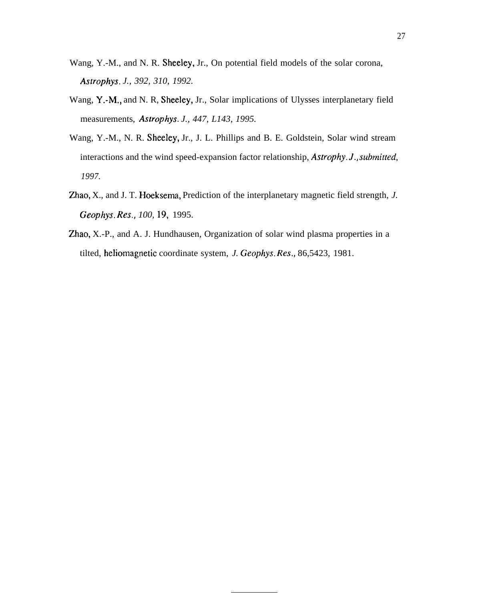- Wang, Y.-M., and N. R. Sheeley, Jr., On potential field models of the solar corona, *Astrophys. J., 392, 310, 1992.*
- Wang, Y.-M,, and N. R, Sheeley, Jr., Solar implications of Ulysses interplanetary field measurements, *Astrophys. J., 447, L143, 1995.*
- Wang, Y.-M., N. R. Sheeley, Jr., J. L. Phillips and B. E. Goldstein, Solar wind stream interactions and the wind speed-expansion factor relationship, *Astrophy. J.*, *submitted*, *1997.*
- Zhao, X., and J. T. Hoeksema, Prediction of the interplanetary magnetic field strength, *J. Geophys. Res., 100,* 19, 1995.
- Zhao, X.-P., and A. J. Hundhausen, Organization of solar wind plasma properties in a tilted, heliomagnetic coordinate system, *J. Geophys. Res.,* 86,5423, 1981.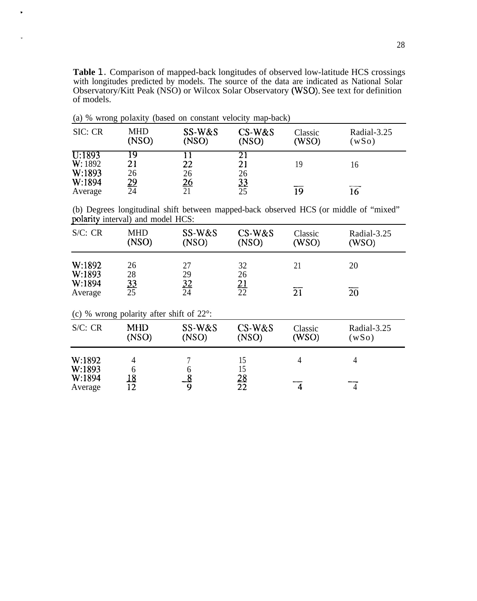**Table** 1. Comparison of mapped-back longitudes of observed low-latitude HCS crossings with longitudes predicted by models. The source of the data are indicated as National Solar Observatory/Kitt Peak (NSO) or Wilcox Solar Observatory (WSO). See text for definition of models.

| SIC: CR                     | <b>MHD</b><br>(NSO) | SS-W&S<br>(NSO) | $CS-W\&S$<br>(NSO) | Classic<br>(WSO) | Radial-3.25<br>(wSo) |
|-----------------------------|---------------------|-----------------|--------------------|------------------|----------------------|
| U:1893<br>W: 1892<br>W:1893 | I Q<br>21<br>26     | 22<br>26        | 21<br>21<br>26     | 19               | 16                   |
| W:1894<br>Average           | <u> 29</u><br>24    | <u> 26</u>      | <u>33</u><br>25    | 19               |                      |

(a) % wrong polaxity (based on constant velocity map-back)

.

w

(b) Degrees longitudinal shift between mapped-back observed HCS (or middle of "mixed" polarity interval) and model HCS:

| S/C: CR           | <b>MHD</b><br>(NSO)                                | SS-W&S<br>(NSO) | $CS-W\&S$<br>(NSO) | Classic<br>(WSO) | Radial-3.25<br>(WSO) |
|-------------------|----------------------------------------------------|-----------------|--------------------|------------------|----------------------|
| W:1892<br>W:1893  | 26<br>28                                           | 27<br>29        | 32<br>26           | 21               | 20                   |
| W:1894<br>Average | $\frac{33}{25}$                                    | $\frac{32}{24}$ | $\frac{21}{22}$    | $\overline{21}$  | $\overline{20}$      |
|                   | (c) % wrong polarity after shift of $22^{\circ}$ : |                 |                    |                  |                      |
| S/C: CR           | <b>MHD</b><br>(NSO)                                | SS-W&S<br>(NSO) | $CS-W\&S$<br>(NSO) | Classic<br>(WSO) | Radial-3.25<br>(wSo) |
| W:1892<br>W:1893  | 4<br>6                                             | 7<br>6          | 15<br>15           | 4                | $\overline{4}$       |
| W:1894<br>Average | <u> 18</u><br>12                                   | $\frac{8}{9}$   | $\frac{28}{22}$    | $\overline{4}$   | 4                    |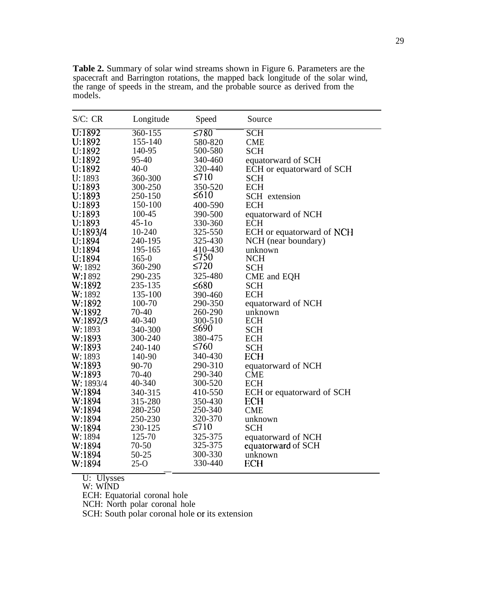| S/C: CR   | Longitude | Speed      | Source                    |
|-----------|-----------|------------|---------------------------|
| U:1892    | 360-155   | $\leq 780$ | <b>SCH</b>                |
| U:1892    | 155-140   | 580-820    | <b>CME</b>                |
| U:1892    | 140-95    | 500-580    | <b>SCH</b>                |
| U:1892    | 95-40     | 340-460    | equatorward of SCH        |
| U:1892    | $40-0$    | 320-440    | ECH or equatorward of SCH |
| U: 1893   | 360-300   | $\leq 710$ | <b>SCH</b>                |
| U:1893    | 300-250   | 350-520    | <b>ECH</b>                |
| U:1893    | 250-150   | $\leq 610$ | SCH extension             |
| U:1893    | 150-100   | 400-590    | <b>ECH</b>                |
| U:1893    | 100-45    | 390-500    | equatorward of NCH        |
| U:1893    | $45-10$   | 330-360    | <b>ECH</b>                |
| U:1893/4  | 10-240    | 325-550    | ECH or equatorward of NCH |
| U:1894    | 240-195   | 325-430    | NCH (near boundary)       |
| U:1894    | 195-165   | 410-430    | unknown                   |
| U:1894    | $165 - 0$ | $\leq 750$ | <b>NCH</b>                |
| W: 1892   | 360-290   | $\leq 720$ | <b>SCH</b>                |
| W:1892    | 290-235   | 325-480    | CME and EQH               |
| W:1892    | 235-135   | $\leq 680$ | <b>SCH</b>                |
| W: 1892   | 135-100   | 390-460    | <b>ECH</b>                |
| W:1892    | 100-70    | 290-350    | equatorward of NCH        |
| W:1892    | 70-40     | 260-290    | unknown                   |
| W:1892/3  | 40-340    | 300-510    | <b>ECH</b>                |
| W: 1893   | 340-300   | ≤690       | <b>SCH</b>                |
| W:1893    | 300-240   | 380-475    | <b>ECH</b>                |
| W:1893    | 240-140   | $\leq 760$ | <b>SCH</b>                |
| W:1893    | 140-90    | 340-430    | <b>ECH</b>                |
| W:1893    | 90-70     | 290-310    | equatorward of NCH        |
| W:1893    | 70-40     | 290-340    | <b>CME</b>                |
| W: 1893/4 | 40-340    | 300-520    | <b>ECH</b>                |
| W:1894    | 340-315   | 410-550    | ECH or equatorward of SCH |
| W:1894    | 315-280   | 350-430    | ECH                       |
| W:1894    | 280-250   | 250-340    | <b>CME</b>                |
| W:1894    | 250-230   | 320-370    | unknown                   |
| W:1894    | 230-125   | $\leq 710$ | <b>SCH</b>                |
| W: 1894   | 125-70    | 325-375    | equatorward of NCH        |
| W:1894    | $70 - 50$ | 325-375    | equatorward of SCH        |
| W:1894    | 50-25     | 300-330    | unknown                   |
| W:1894    | $25-0$    | 330-440    | <b>ECH</b>                |

**Table 2.** Summary of solar wind streams shown in Figure 6. Parameters are the spacecraft and Barrington rotations, the mapped back longitude of the solar wind, the range of speeds in the stream, and the probable source as derived from the models.

U: Ulysses

W: WIND

ECH: Equatorial coronal hole

NCH: North polar coronal hole

SCH: South polar coronal hole or its extension

—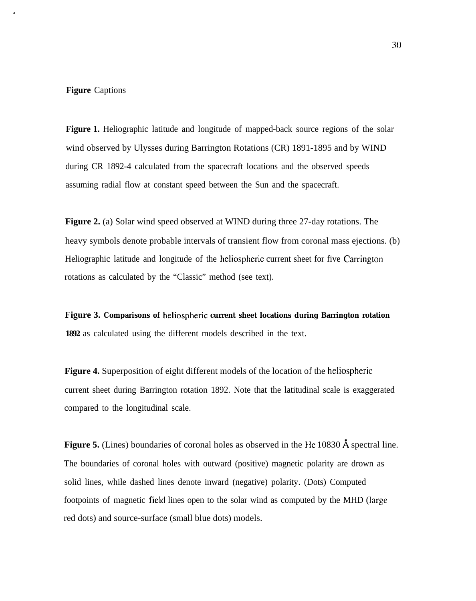# **Figure** Captions

.

**Figure 1.** Heliographic latitude and longitude of mapped-back source regions of the solar wind observed by Ulysses during Barrington Rotations (CR) 1891-1895 and by WIND during CR 1892-4 calculated from the spacecraft locations and the observed speeds assuming radial flow at constant speed between the Sun and the spacecraft.

**Figure 2.** (a) Solar wind speed observed at WIND during three 27-day rotations. The heavy symbols denote probable intervals of transient flow from coronal mass ejections. (b) Heliographic latitude and longitude of the heliospheric current sheet for five Carrington rotations as calculated by the "Classic" method (see text).

**Figure 3. Comparisons of heliospheric current sheet locations during Barrington rotation 1892** as calculated using the different models described in the text.

**Figure 4.** Superposition of eight different models of the location of the heliospheric current sheet during Barrington rotation 1892. Note that the latitudinal scale is exaggerated compared to the longitudinal scale.

Figure 5. (Lines) boundaries of coronal holes as observed in the He 10830 Å spectral line. The boundaries of coronal holes with outward (positive) magnetic polarity are drown as solid lines, while dashed lines denote inward (negative) polarity. (Dots) Computed footpoints of magnetic field lines open to the solar wind as computed by the MHD (large red dots) and source-surface (small blue dots) models.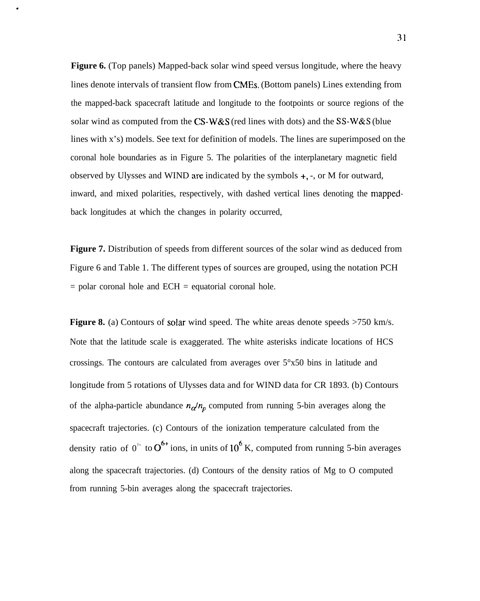**Figure 6.** (Top panels) Mapped-back solar wind speed versus longitude, where the heavy lines denote intervals of transient flow from CMES. (Bottom panels) Lines extending from the mapped-back spacecraft latitude and longitude to the footpoints or source regions of the solar wind as computed from the CS-W&S (red lines with dots) and the SS-W&S (blue lines with x's) models. See text for definition of models. The lines are superimposed on the coronal hole boundaries as in Figure 5. The polarities of the interplanetary magnetic field observed by Ulysses and WIND are indicated by the symbols +, -, or M for outward, inward, and mixed polarities, respectively, with dashed vertical lines denoting the mappedback longitudes at which the changes in polarity occurred,

.

**Figure 7.** Distribution of speeds from different sources of the solar wind as deduced from Figure 6 and Table 1. The different types of sources are grouped, using the notation PCH  $=$  polar coronal hole and ECH  $=$  equatorial coronal hole.

**Figure 8.** (a) Contours of solar wind speed. The white areas denote speeds  $>750$  km/s. Note that the latitude scale is exaggerated. The white asterisks indicate locations of HCS crossings. The contours are calculated from averages over  $5^{\circ}x50$  bins in latitude and longitude from 5 rotations of Ulysses data and for WIND data for CR 1893. (b) Contours of the alpha-particle abundance  $n_{\alpha}/n_{p}$  computed from running 5-bin averages along the spacecraft trajectories. (c) Contours of the ionization temperature calculated from the density ratio of  $0^{7+}$  to  $0^{6+}$  ions, in units of 10<sup>6</sup> K, computed from running 5-bin averages along the spacecraft trajectories. (d) Contours of the density ratios of Mg to O computed from running 5-bin averages along the spacecraft trajectories.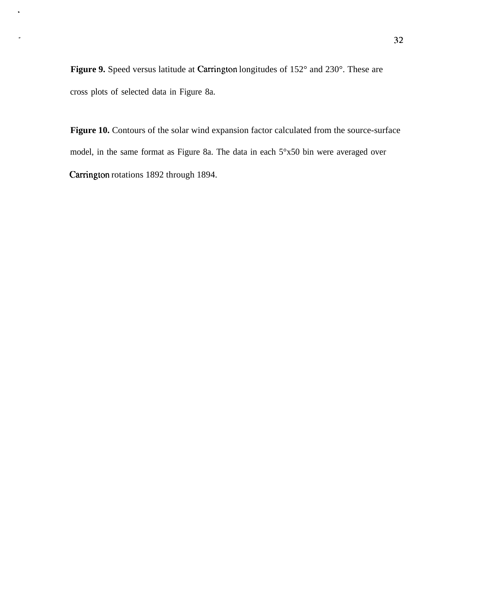Figure 9. Speed versus latitude at Carrington longitudes of 152° and 230°. These are cross plots of selected data in Figure 8a.

 $\bullet$ 

Figure 10. Contours of the solar wind expansion factor calculated from the source-surface model, in the same format as Figure 8a. The data in each 5°x50 bin were averaged over Carrington rotations 1892 through 1894.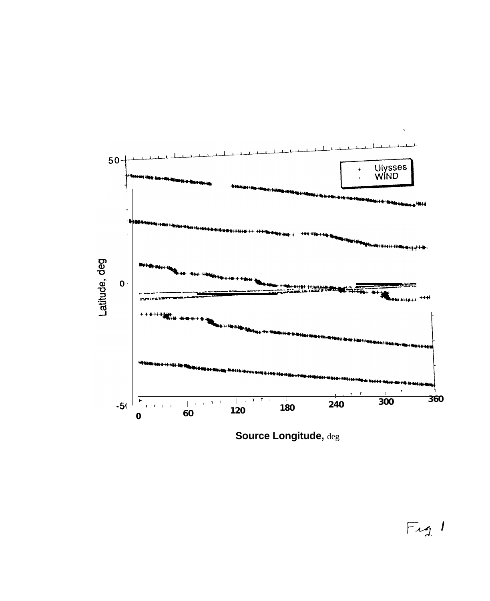

Source Longitude, deg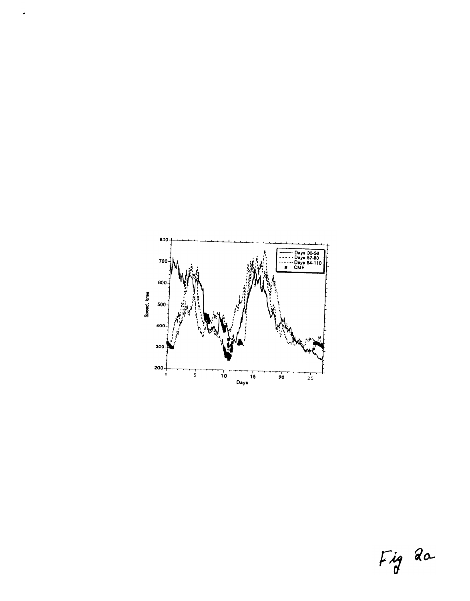

 $\bullet$ 

Fig 2a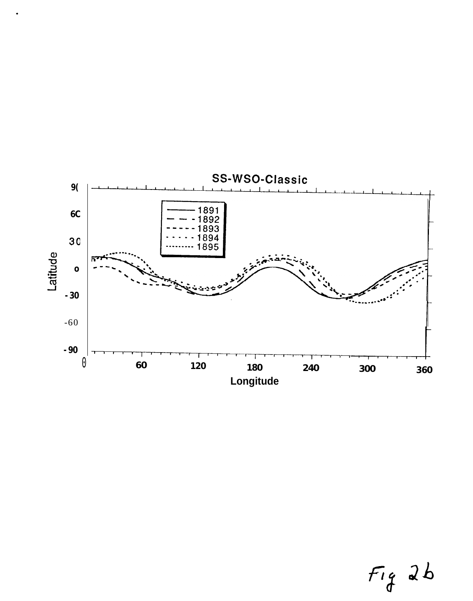

$$
Fig 2b
$$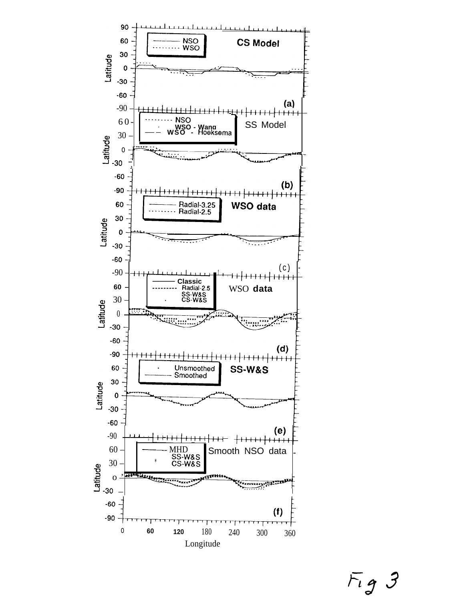

 $Fig 3$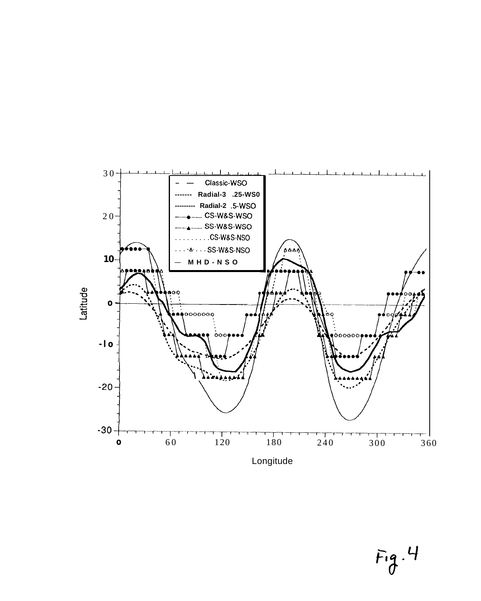

 $Fig.4$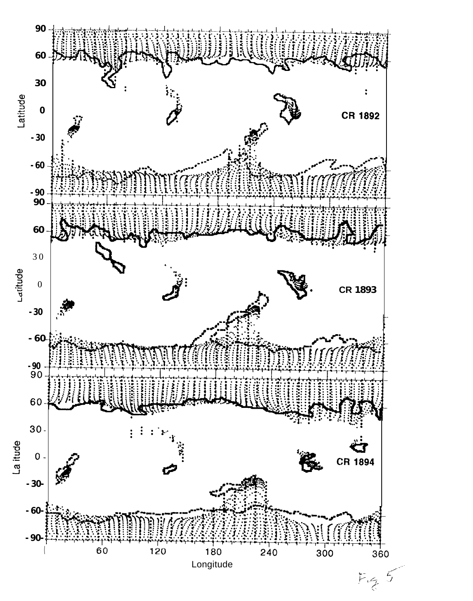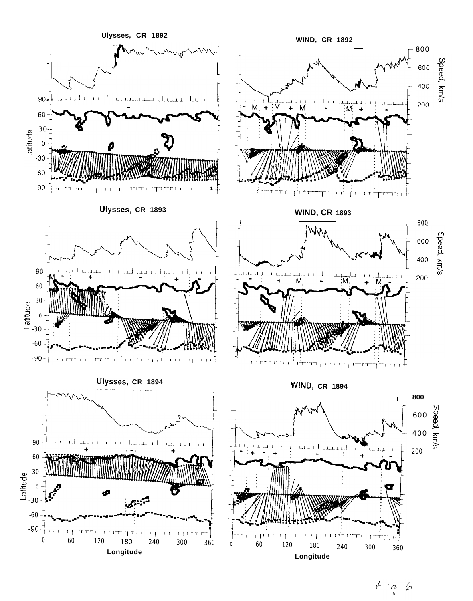

 $\mathbb{F}_{\frac{a}{b}}$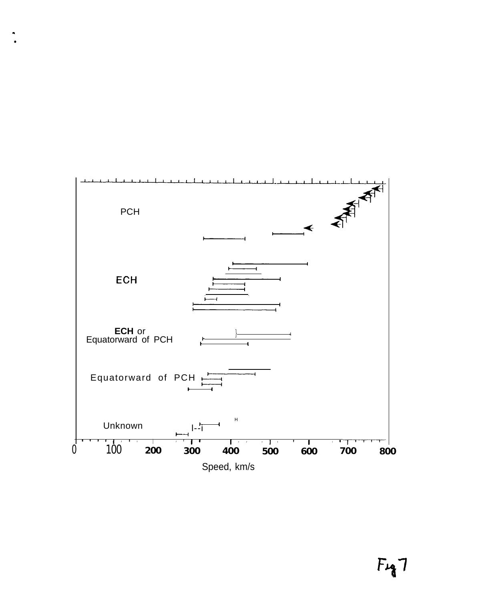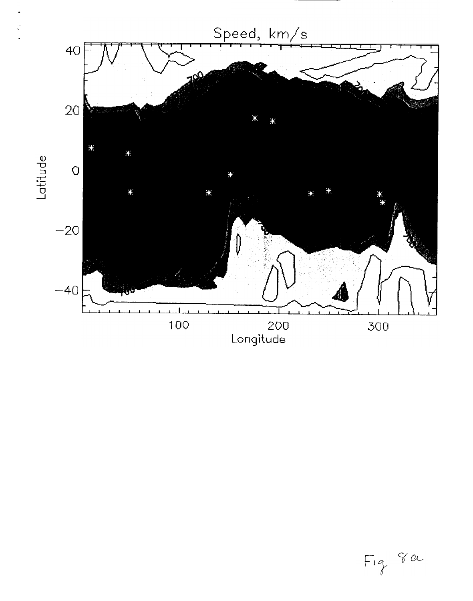

Fig 8 ou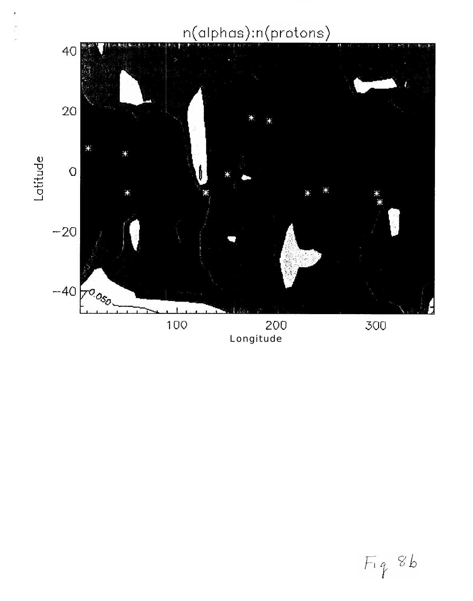# n(alphas):n(protons)



 $Fig 8b$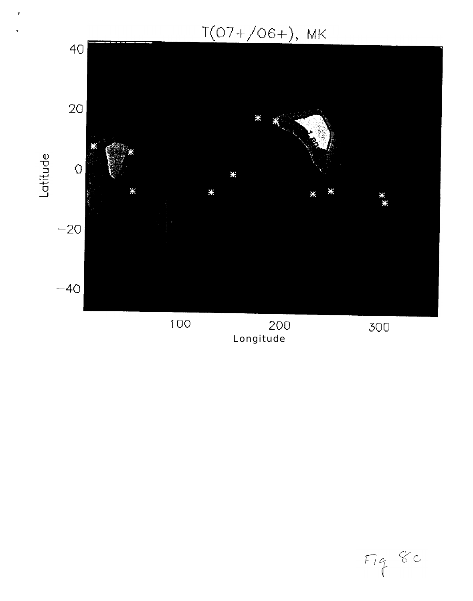$T(07+/06+)$ , MK

 $\ddot{\phantom{1}}$ 



Longitude

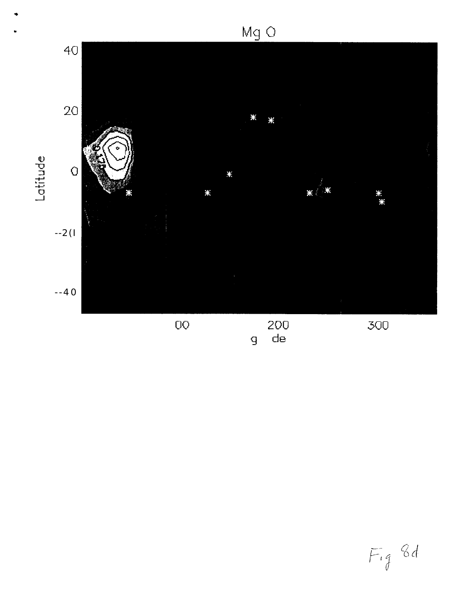

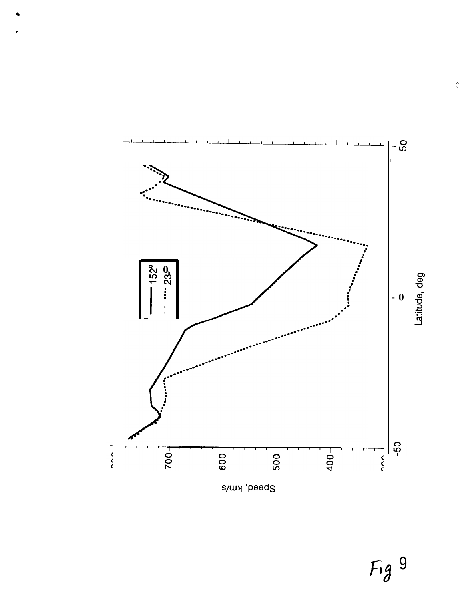

 $Fig 9$